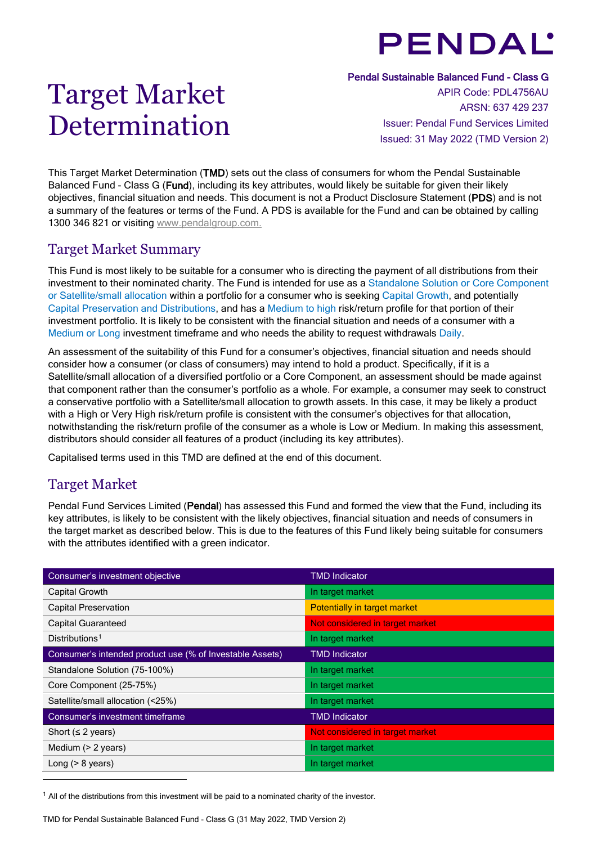# **PENDAL'**

# Target Market Determination

Pendal Sustainable Balanced Fund - Class G

APIR Code: PDL4756AU ARSN: 637 429 237 Issuer: Pendal Fund Services Limited Issued: 31 May 2022 (TMD Version 2)

This Target Market Determination (TMD) sets out the class of consumers for whom the Pendal Sustainable Balanced Fund - Class G (Fund), including its key attributes, would likely be suitable for given their likely objectives, financial situation and needs. This document is not a Product Disclosure Statement (PDS) and is not a summary of the features or terms of the Fund. A PDS is available for the Fund and can be obtained by calling 1300 346 821 or visiting [www.pendalgroup.com.](http://www.pendalgroup.com/)

## Target Market Summary

This Fund is most likely to be suitable for a consumer who is directing the payment of all distributions from their investment to their nominated charity. The Fund is intended for use as a Standalone Solution or Core Component or Satellite/small allocation within a portfolio for a consumer who is seeking Capital Growth, and potentially Capital Preservation and Distributions, and has a Medium to high risk/return profile for that portion of their investment portfolio. It is likely to be consistent with the financial situation and needs of a consumer with a Medium or Long investment timeframe and who needs the ability to request withdrawals Daily.

An assessment of the suitability of this Fund for a consumer's objectives, financial situation and needs should consider how a consumer (or class of consumers) may intend to hold a product. Specifically, if it is a Satellite/small allocation of a diversified portfolio or a Core Component, an assessment should be made against that component rather than the consumer's portfolio as a whole. For example, a consumer may seek to construct a conservative portfolio with a Satellite/small allocation to growth assets. In this case, it may be likely a product with a High or Very High risk/return profile is consistent with the consumer's objectives for that allocation, notwithstanding the risk/return profile of the consumer as a whole is Low or Medium. In making this assessment, distributors should consider all features of a product (including its key attributes).

Capitalised terms used in this TMD are defined at the end of this document.

# Target Market

Pendal Fund Services Limited (Pendal) has assessed this Fund and formed the view that the Fund, including its key attributes, is likely to be consistent with the likely objectives, financial situation and needs of consumers in the target market as described below. This is due to the features of this Fund likely being suitable for consumers with the attributes identified with a green indicator.

| Consumer's investment objective                          | <b>TMD Indicator</b>            |
|----------------------------------------------------------|---------------------------------|
| Capital Growth                                           | In target market                |
| <b>Capital Preservation</b>                              | Potentially in target market    |
| <b>Capital Guaranteed</b>                                | Not considered in target market |
| Distributions <sup>1</sup>                               | In target market                |
| Consumer's intended product use (% of Investable Assets) | <b>TMD Indicator</b>            |
| Standalone Solution (75-100%)                            | In target market                |
| Core Component (25-75%)                                  | In target market                |
| Satellite/small allocation (<25%)                        | In target market                |
| Consumer's investment timeframe                          | <b>TMD Indicator</b>            |
| Short ( $\leq$ 2 years)                                  | Not considered in target market |
| Medium (> 2 years)                                       | In target market                |
| Long $(> 8$ years)                                       | In target market                |

<span id="page-0-0"></span> $1$  All of the distributions from this investment will be paid to a nominated charity of the investor.

TMD for Pendal Sustainable Balanced Fund - Class G (31 May 2022, TMD Version 2)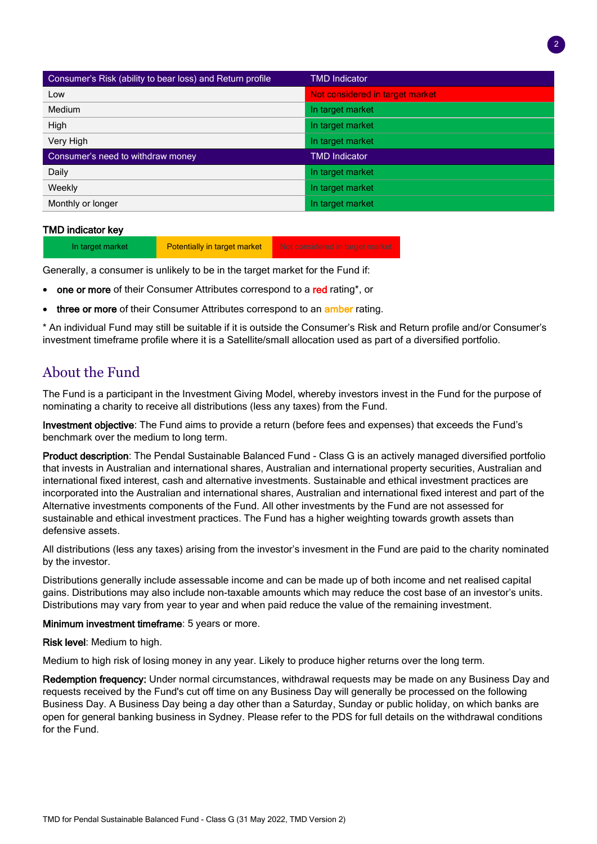| Consumer's Risk (ability to bear loss) and Return profile | <b>TMD Indicator</b>            |
|-----------------------------------------------------------|---------------------------------|
| Low                                                       | Not considered in target market |
| Medium                                                    | In target market                |
| High                                                      | In target market                |
| Very High                                                 | In target market                |
| Consumer's need to withdraw money                         | <b>TMD Indicator</b>            |
| Daily                                                     | In target market                |
| Weekly                                                    | In target market                |
| Monthly or longer                                         | In target market                |

## TMD indicator key

In target market **Potentially in target market** Not considered in target market

Generally, a consumer is unlikely to be in the target market for the Fund if:

- one or more of their Consumer Attributes correspond to a red rating\*, or
- three or more of their Consumer Attributes correspond to an amber rating.

\* An individual Fund may still be suitable if it is outside the Consumer's Risk and Return profile and/or Consumer's investment timeframe profile where it is a Satellite/small allocation used as part of a diversified portfolio.

## About the Fund

The Fund is a participant in the Investment Giving Model, whereby investors invest in the Fund for the purpose of nominating a charity to receive all distributions (less any taxes) from the Fund.

Investment objective: The Fund aims to provide a return (before fees and expenses) that exceeds the Fund's benchmark over the medium to long term.

Product description: The Pendal Sustainable Balanced Fund - Class G is an actively managed diversified portfolio that invests in Australian and international shares, Australian and international property securities, Australian and international fixed interest, cash and alternative investments. Sustainable and ethical investment practices are incorporated into the Australian and international shares, Australian and international fixed interest and part of the Alternative investments components of the Fund. All other investments by the Fund are not assessed for sustainable and ethical investment practices. The Fund has a higher weighting towards growth assets than defensive assets.

All distributions (less any taxes) arising from the investor's invesment in the Fund are paid to the charity nominated by the investor.

Distributions generally include assessable income and can be made up of both income and net realised capital gains. Distributions may also include non-taxable amounts which may reduce the cost base of an investor's units. Distributions may vary from year to year and when paid reduce the value of the remaining investment.

Minimum investment timeframe: 5 years or more.

Risk level: Medium to high.

Medium to high risk of losing money in any year. Likely to produce higher returns over the long term.

Redemption frequency: Under normal circumstances, withdrawal requests may be made on any Business Day and requests received by the Fund's cut off time on any Business Day will generally be processed on the following Business Day. A Business Day being a day other than a Saturday, Sunday or public holiday, on which banks are open for general banking business in Sydney. Please refer to the PDS for full details on the withdrawal conditions for the Fund.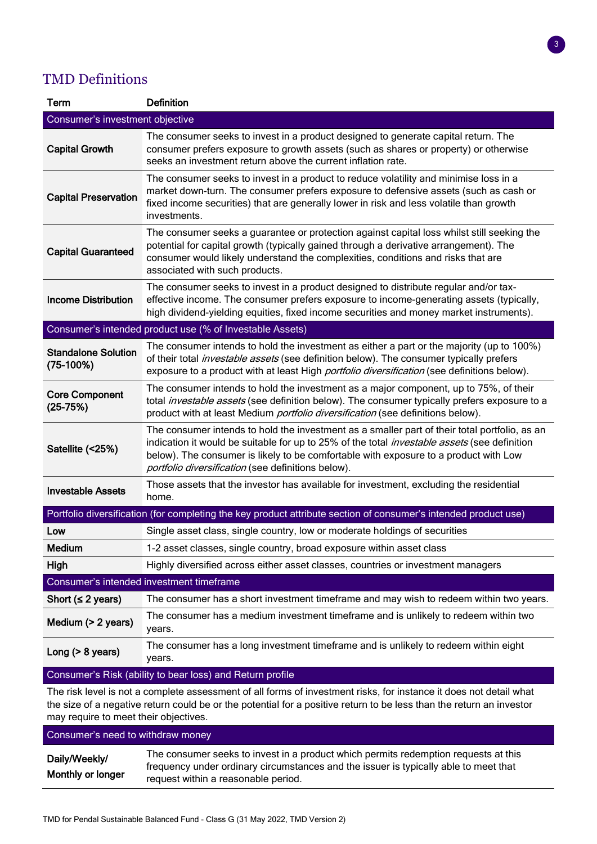# TMD Definitions

| Term                                                                                                            | <b>Definition</b>                                                                                                                                                                                                                                                                                                                                  |  |
|-----------------------------------------------------------------------------------------------------------------|----------------------------------------------------------------------------------------------------------------------------------------------------------------------------------------------------------------------------------------------------------------------------------------------------------------------------------------------------|--|
| Consumer's investment objective                                                                                 |                                                                                                                                                                                                                                                                                                                                                    |  |
| <b>Capital Growth</b>                                                                                           | The consumer seeks to invest in a product designed to generate capital return. The<br>consumer prefers exposure to growth assets (such as shares or property) or otherwise<br>seeks an investment return above the current inflation rate.                                                                                                         |  |
| <b>Capital Preservation</b>                                                                                     | The consumer seeks to invest in a product to reduce volatility and minimise loss in a<br>market down-turn. The consumer prefers exposure to defensive assets (such as cash or<br>fixed income securities) that are generally lower in risk and less volatile than growth<br>investments.                                                           |  |
| <b>Capital Guaranteed</b>                                                                                       | The consumer seeks a guarantee or protection against capital loss whilst still seeking the<br>potential for capital growth (typically gained through a derivative arrangement). The<br>consumer would likely understand the complexities, conditions and risks that are<br>associated with such products.                                          |  |
| <b>Income Distribution</b>                                                                                      | The consumer seeks to invest in a product designed to distribute regular and/or tax-<br>effective income. The consumer prefers exposure to income-generating assets (typically,<br>high dividend-yielding equities, fixed income securities and money market instruments).                                                                         |  |
|                                                                                                                 | Consumer's intended product use (% of Investable Assets)                                                                                                                                                                                                                                                                                           |  |
| <b>Standalone Solution</b><br>$(75-100%)$                                                                       | The consumer intends to hold the investment as either a part or the majority (up to 100%)<br>of their total <i>investable assets</i> (see definition below). The consumer typically prefers<br>exposure to a product with at least High <i>portfolio diversification</i> (see definitions below).                                                  |  |
| <b>Core Component</b><br>$(25-75%)$                                                                             | The consumer intends to hold the investment as a major component, up to 75%, of their<br>total <i>investable assets</i> (see definition below). The consumer typically prefers exposure to a<br>product with at least Medium <i>portfolio diversification</i> (see definitions below).                                                             |  |
| Satellite (<25%)                                                                                                | The consumer intends to hold the investment as a smaller part of their total portfolio, as an<br>indication it would be suitable for up to 25% of the total <i>investable assets</i> (see definition<br>below). The consumer is likely to be comfortable with exposure to a product with Low<br>portfolio diversification (see definitions below). |  |
| <b>Investable Assets</b>                                                                                        | Those assets that the investor has available for investment, excluding the residential<br>home.                                                                                                                                                                                                                                                    |  |
| Portfolio diversification (for completing the key product attribute section of consumer's intended product use) |                                                                                                                                                                                                                                                                                                                                                    |  |
| Low                                                                                                             | Single asset class, single country, low or moderate holdings of securities                                                                                                                                                                                                                                                                         |  |
| <b>Medium</b>                                                                                                   | 1-2 asset classes, single country, broad exposure within asset class                                                                                                                                                                                                                                                                               |  |
| High                                                                                                            | Highly diversified across either asset classes, countries or investment managers                                                                                                                                                                                                                                                                   |  |
| Consumer's intended investment timeframe                                                                        |                                                                                                                                                                                                                                                                                                                                                    |  |
| Short $(s 2 \text{ years})$                                                                                     | The consumer has a short investment timeframe and may wish to redeem within two years.                                                                                                                                                                                                                                                             |  |
| Medium (> 2 years)                                                                                              | The consumer has a medium investment timeframe and is unlikely to redeem within two<br>years.                                                                                                                                                                                                                                                      |  |
| Long $(> 8$ years)                                                                                              | The consumer has a long investment timeframe and is unlikely to redeem within eight<br>years.                                                                                                                                                                                                                                                      |  |

## Consumer's Risk (ability to bear loss) and Return profile

The risk level is not a complete assessment of all forms of investment risks, for instance it does not detail what the size of a negative return could be or the potential for a positive return to be less than the return an investor may require to meet their objectives.

#### Consumer's need to withdraw money Daily/Weekly/ Monthly or longer The consumer seeks to invest in a product which permits redemption requests at this frequency under ordinary circumstances and the issuer is typically able to meet that request within a reasonable period.

3